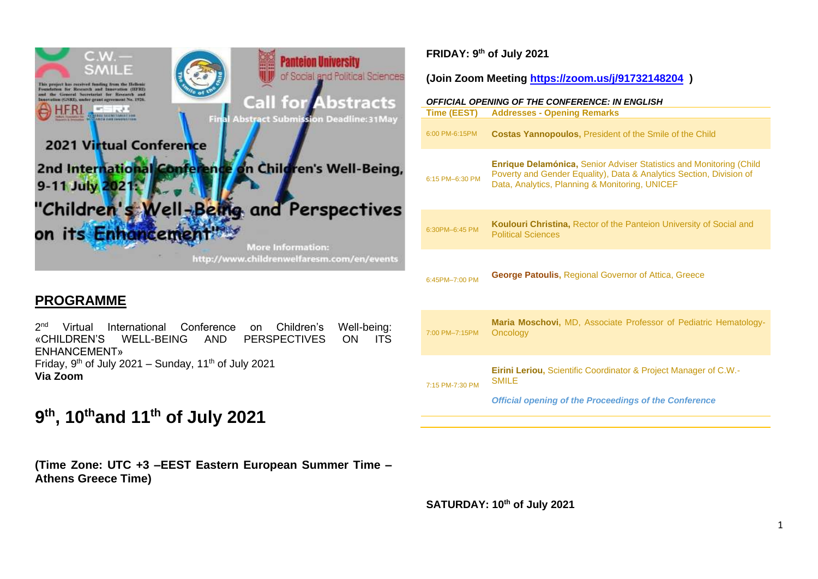

## **PROGRAMME**

 $2<sup>nd</sup>$ Virtual International Conference on Children's Well-being: «CHILDREN'S WELL-BEING AND PERSPECTIVES ON ITS ENHANCEMENT» Friday, 9<sup>th</sup> of July 2021 – Sunday, 11<sup>th</sup> of July 2021 **Via Zoom**

# **9 th, 10thand 11th of July 2021**

**(Time Zone: UTC +3 –EEST Eastern European Summer Time – Athens Greece Time)**

## **FRIDAY: 9th of July 2021**

**(Join Zoom Meeting <https://zoom.us/j/91732148204>)**

| Time (EEST)     | <b>OFFICIAL OPENING OF THE CONFERENCE: IN ENGLISH</b><br><b>Addresses - Opening Remarks</b>                                                                                                         |
|-----------------|-----------------------------------------------------------------------------------------------------------------------------------------------------------------------------------------------------|
| 6:00 PM-6:15PM  | <b>Costas Yannopoulos, President of the Smile of the Child</b>                                                                                                                                      |
| 6:15 PM-6:30 PM | <b>Enrique Delamónica, Senior Adviser Statistics and Monitoring (Child</b><br>Poverty and Gender Equality), Data & Analytics Section, Division of<br>Data, Analytics, Planning & Monitoring, UNICEF |
| 6:30PM-6:45 PM  | Koulouri Christina, Rector of the Panteion University of Social and<br><b>Political Sciences</b>                                                                                                    |
| 6:45PM-7:00 PM  | <b>George Patoulis, Regional Governor of Attica, Greece</b>                                                                                                                                         |
| 7:00 PM-7:15PM  | Maria Moschovi, MD, Associate Professor of Pediatric Hematology-<br>Oncology                                                                                                                        |
| 7:15 PM-7:30 PM | <b>Eirini Leriou, Scientific Coordinator &amp; Project Manager of C.W.-</b><br><b>SMILE</b><br><b>Official opening of the Proceedings of the Conference</b>                                         |

**SATURDAY: 10th of July 2021**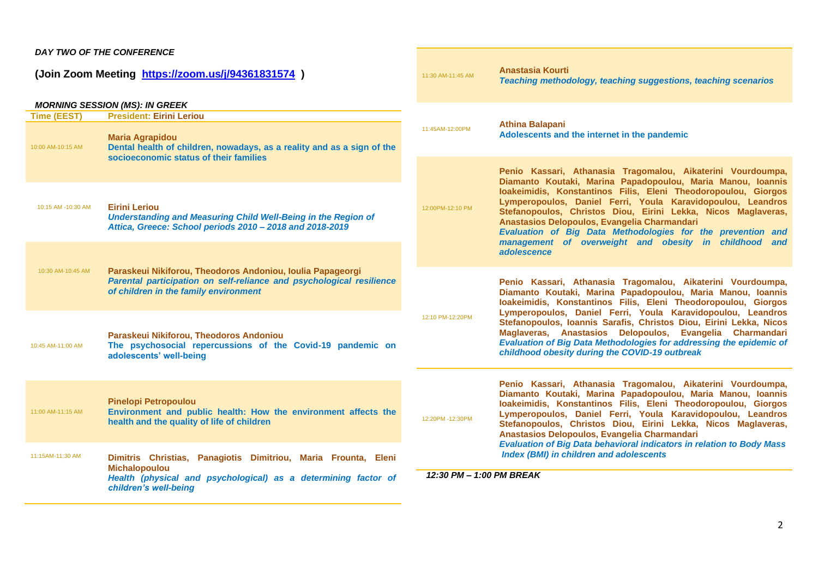#### *DAY TWO OF THE CONFERENCE*

**(Join Zoom Meeting <https://zoom.us/j/94361831574>)**

#### *MORNING SESSION (MS): IN GREEK*

| <b>Time (EEST)</b> | <b>President: Eirini Leriou</b>                                                                                                                                             |                          |                                                                                                                                                                                                                                                                                                                                                                        |
|--------------------|-----------------------------------------------------------------------------------------------------------------------------------------------------------------------------|--------------------------|------------------------------------------------------------------------------------------------------------------------------------------------------------------------------------------------------------------------------------------------------------------------------------------------------------------------------------------------------------------------|
| 10:00 AM-10:15 AM  | <b>Maria Agrapidou</b><br>Dental health of children, nowadays, as a reality and as a sign of the<br>socioeconomic status of their families                                  | 11:45AM-12:00PM          | <b>Athina Balapani</b><br>Adolescents and the internet in the pandemic                                                                                                                                                                                                                                                                                                 |
|                    |                                                                                                                                                                             |                          | Penio Kassari, Athanasia Tragomalou, Aikaterini Vourdoumpa,<br>Diamanto Koutaki, Marina Papadopoulou, Maria Manou, Ioannis                                                                                                                                                                                                                                             |
| 10:15 AM -10:30 AM | <b>Eirini Leriou</b><br>Understanding and Measuring Child Well-Being in the Region of<br>Attica, Greece: School periods 2010 - 2018 and 2018-2019                           | 12:00PM-12:10 PM         | Ioakeimidis, Konstantinos Filis, Eleni Theodoropoulou, Giorgos<br>Lymperopoulos, Daniel Ferri, Youla Karavidopoulou, Leandros<br>Stefanopoulos, Christos Diou, Eirini Lekka, Nicos Maglaveras,<br>Anastasios Delopoulos, Evangelia Charmandari<br>Evaluation of Big Data Methodologies for the prevention and<br>management of overweight and obesity in childhood and |
|                    |                                                                                                                                                                             |                          | adolescence                                                                                                                                                                                                                                                                                                                                                            |
| 10:30 AM-10:45 AM  | Paraskeui Nikiforou, Theodoros Andoniou, Ioulia Papageorgi<br>Parental participation on self-reliance and psychological resilience<br>of children in the family environment |                          | Penio Kassari, Athanasia Tragomalou, Aikaterini Vourdoumpa,<br>Diamanto Koutaki, Marina Papadopoulou, Maria Manou, Ioannis<br>loakeimidis, Konstantinos Filis, Eleni Theodoropoulou, Giorgos                                                                                                                                                                           |
| 10:45 AM-11:00 AM  | Paraskeui Nikiforou, Theodoros Andoniou<br>The psychosocial repercussions of the Covid-19 pandemic on<br>adolescents' well-being                                            | 12:10 PM-12:20PM         | Lymperopoulos, Daniel Ferri, Youla Karavidopoulou, Leandros<br>Stefanopoulos, Ioannis Sarafis, Christos Diou, Eirini Lekka, Nicos<br>Maglaveras, Anastasios Delopoulos, Evangelia Charmandari<br><b>Evaluation of Big Data Methodologies for addressing the epidemic of</b><br>childhood obesity during the COVID-19 outbreak                                          |
|                    |                                                                                                                                                                             |                          | Penio Kassari, Athanasia Tragomalou, Aikaterini Vourdoumpa,                                                                                                                                                                                                                                                                                                            |
| 11:00 AM-11:15 AM  | <b>Pinelopi Petropoulou</b><br>Environment and public health: How the environment affects the<br>health and the quality of life of children                                 | 12:20PM -12:30PM         | Diamanto Koutaki, Marina Papadopoulou, Maria Manou, Ioannis<br>loakeimidis, Konstantinos Filis, Eleni Theodoropoulou, Giorgos<br>Lymperopoulos, Daniel Ferri, Youla Karavidopoulou, Leandros<br>Stefanopoulos, Christos Diou, Eirini Lekka, Nicos Maglaveras,<br>Anastasios Delopoulos, Evangelia Charmandari                                                          |
| 11:15AM-11;30 AM   | Dimitris Christias, Panagiotis Dimitriou, Maria Frounta, Eleni<br><b>Michalopoulou</b>                                                                                      |                          | <b>Evaluation of Big Data behavioral indicators in relation to Body Mass</b><br><b>Index (BMI) in children and adolescents</b>                                                                                                                                                                                                                                         |
|                    | Health (physical and psychological) as a determining factor of<br>children's well-being                                                                                     | 12:30 PM - 1:00 PM BREAK |                                                                                                                                                                                                                                                                                                                                                                        |

11:30 AM-11:45 AM **Anastasia Kourti**

*Teaching methodology, teaching suggestions, teaching scenarios*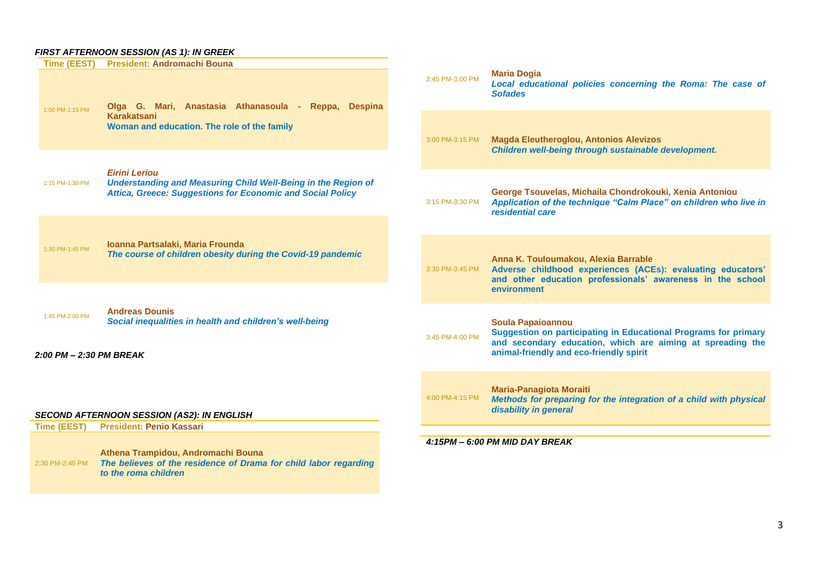#### *FIRST AFTERNOON SESSION (AS 1): IN GREEK*

| Time (EEST)                                | <b>President: Andromachi Bouna</b>                                                                                                                                |                 |                                                                                                                                                                                                             |
|--------------------------------------------|-------------------------------------------------------------------------------------------------------------------------------------------------------------------|-----------------|-------------------------------------------------------------------------------------------------------------------------------------------------------------------------------------------------------------|
| 1:00 PM-1:15 PM                            | Olga G. Mari, Anastasia Athanasoula -<br>Reppa. Despina                                                                                                           | 2:45 PM-3:00 PM | <b>Maria Dogia</b><br>Local educational policies concerning the Roma: The case of<br><b>Sofades</b>                                                                                                         |
|                                            | Karakatsani<br>Woman and education. The role of the family                                                                                                        | 3:00 PM-3:15 PM | <b>Magda Eleutheroglou, Antonios Alevizos</b><br>Children well-being through sustainable development.                                                                                                       |
|                                            |                                                                                                                                                                   |                 |                                                                                                                                                                                                             |
| 1:15 PM-1:30 PM                            | <b>Eirini Leriou</b><br><b>Understanding and Measuring Child Well-Being in the Region of</b><br><b>Attica, Greece: Suggestions for Economic and Social Policy</b> | 3:15 PM-3:30 PM | George Tsouvelas, Michaila Chondrokouki, Xenia Antoniou<br>Application of the technique "Calm Place" on children who live in<br>residential care                                                            |
|                                            |                                                                                                                                                                   |                 |                                                                                                                                                                                                             |
| 1:30 PM-1:45 PM                            | Ioanna Partsalaki, Maria Frounda<br>The course of children obesity during the Covid-19 pandemic                                                                   | 3:30 PM-3:45 PM | Anna K. Touloumakou, Alexia Barrable<br>Adverse childhood experiences (ACEs): evaluating educators'<br>and other education professionals' awareness in the school                                           |
|                                            |                                                                                                                                                                   |                 | environment                                                                                                                                                                                                 |
| 1:45 PM-2:00 PM<br>2:00 PM - 2:30 PM BREAK | <b>Andreas Dounis</b><br>Social inequalities in health and children's well-being                                                                                  | 3:45 PM-4:00 PM | <b>Soula Papaioannou</b><br><b>Suggestion on participating in Educational Programs for primary</b><br>and secondary education, which are aiming at spreading the<br>animal-friendly and eco-friendly spirit |
|                                            | <b>SECOND AFTERNOON SESSION (AS2): IN ENGLISH</b><br><b>President: Penio Kassari</b>                                                                              | 4:00 PM-4:15 PM | <b>Maria-Panagiota Moraiti</b><br>Methods for preparing for the integration of a child with physical<br>disability in general                                                                               |
| Time (EEST)                                |                                                                                                                                                                   |                 |                                                                                                                                                                                                             |
| 2:30 PM-2:45 PM                            | Athena Trampidou, Andromachi Bouna<br>The believes of the residence of Drama for child labor regarding<br>to the roma children                                    |                 | 4:15PM - 6:00 PM MID DAY BREAK                                                                                                                                                                              |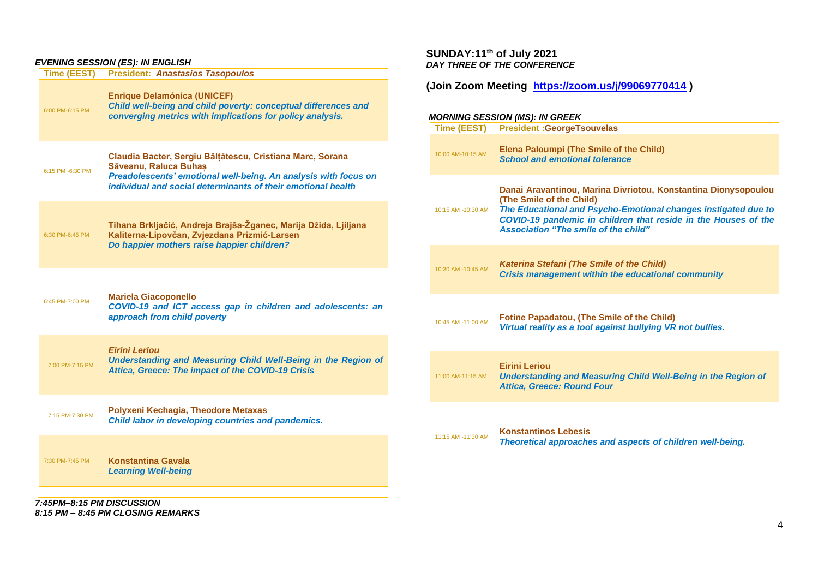#### *EVENING SESSION (ES): IN ENGLISH*

| <b>Time (EEST)</b> | LVLIVING SLOSION (LO), IN LNGLISH<br><b>President: Anastasios Tasopoulos</b>                                                                                                                                          | DAY IHREE OI                                           |
|--------------------|-----------------------------------------------------------------------------------------------------------------------------------------------------------------------------------------------------------------------|--------------------------------------------------------|
| 6:00 PM-6:15 PM    | <b>Enrique Delamónica (UNICEF)</b><br>Child well-being and child poverty: conceptual differences and<br>converging metrics with implications for policy analysis.                                                     | (Join Zoom<br><b>MORNING SES</b><br><b>Time (EEST)</b> |
| 6:15 PM -6:30 PM   | Claudia Bacter, Sergiu Bălțătescu, Cristiana Marc, Sorana<br>Săveanu, Raluca Buhas<br>Preadolescents' emotional well-being. An analysis with focus on<br>individual and social determinants of their emotional health | 10:00 AM-10:15 AM                                      |
| 6:30 PM-6:45 PM    | Tihana Brkljačić, Andreja Brajša-Žganec, Marija Džida, Ljiljana<br>Kaliterna-Lipovčan, Zvjezdana Prizmić-Larsen<br>Do happier mothers raise happier children?                                                         | 10:15 AM -10:30 AM                                     |
| 6:45 PM-7:00 PM    | <b>Mariela Giacoponello</b><br>COVID-19 and ICT access gap in children and adolescents: an<br>approach from child poverty                                                                                             | 10:30 AM -10:45 AM<br>10:45 AM -11:00 AM               |
| 7:00 PM-7:15 PM    | <b>Eirini Leriou</b><br>Understanding and Measuring Child Well-Being in the Region of<br>Attica, Greece: The impact of the COVID-19 Crisis                                                                            | 11:00 AM-11:15 AM                                      |
| 7:15 PM-7:30 PM    | Polyxeni Kechagia, Theodore Metaxas<br>Child labor in developing countries and pandemics.                                                                                                                             |                                                        |
| 7:30 PM-7:45 PM    | <b>Konstantina Gavala</b><br><b>Learning Well-being</b>                                                                                                                                                               | 11:15 AM -11:30 AM                                     |
|                    |                                                                                                                                                                                                                       |                                                        |

*7:45PM–8:15 PM DISCUSSION 8:15 PM – 8:45 PM CLOSING REMARKS*

#### **SUNDAY:11th of July 2021** *DAY THREE OF THE CONFERENCE*

## **(Join Zoom Meeting <https://zoom.us/j/99069770414> )**

#### *MORNING SESSION (MS): IN GREEK*

| Time (EEST)        | <b>President: GeorgeTsouvelas</b>                                                                                                                                                                                                                                             |
|--------------------|-------------------------------------------------------------------------------------------------------------------------------------------------------------------------------------------------------------------------------------------------------------------------------|
| 10:00 AM-10:15 AM  | <b>Elena Paloumpi (The Smile of the Child)</b><br><b>School and emotional tolerance</b>                                                                                                                                                                                       |
| 10:15 AM -10:30 AM | Danai Aravantinou, Marina Divriotou, Konstantina Dionysopoulou<br>(The Smile of the Child)<br>The Educational and Psycho-Emotional changes instigated due to<br>COVID-19 pandemic in children that reside in the Houses of the<br><b>Association "The smile of the child"</b> |
| 10:30 AM -10:45 AM | <b>Katerina Stefani (The Smile of the Child)</b><br><b>Crisis management within the educational community</b>                                                                                                                                                                 |
| 10:45 AM -11:00 AM | <b>Fotine Papadatou, (The Smile of the Child)</b><br>Virtual reality as a tool against bullying VR not bullies.                                                                                                                                                               |
| 11:00 AM-11:15 AM  | <b>Eirini Leriou</b><br><b>Understanding and Measuring Child Well-Being in the Region of</b><br><b>Attica, Greece: Round Four</b>                                                                                                                                             |
| 11:15 AM -11:30 AM | <b>Konstantinos Lebesis</b><br>Theoretical approaches and aspects of children well-being.                                                                                                                                                                                     |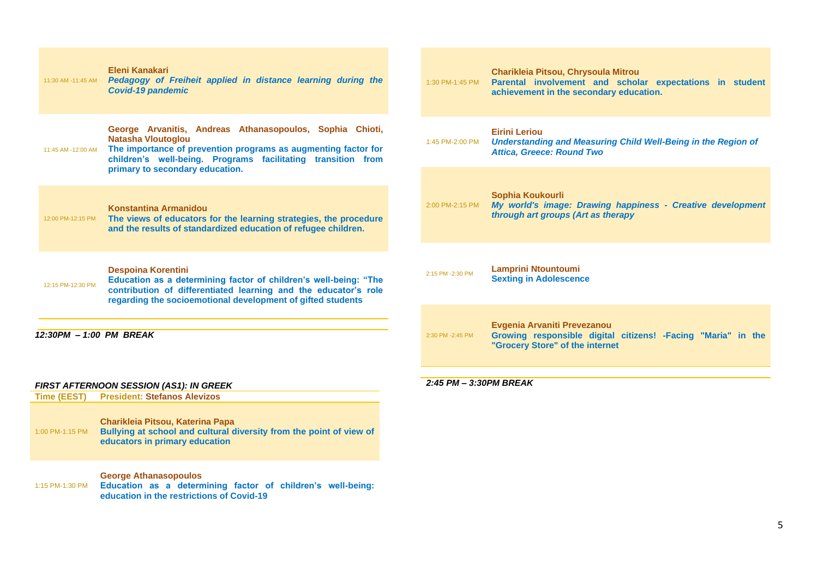|                                                                                       | Eleni Kanakari<br>11:30 AM -11:45 AM  Pedagogy of Freiheit applied in distance learning during the<br><b>Covid-19 pandemic</b>                                                                                                                             | 1:30 PM-1:45 PM        | Charikleia Pitsou, Chrysoula Mitrou<br>Parental involvement and scholar expectations in student<br>achievement in the secondary education. |
|---------------------------------------------------------------------------------------|------------------------------------------------------------------------------------------------------------------------------------------------------------------------------------------------------------------------------------------------------------|------------------------|--------------------------------------------------------------------------------------------------------------------------------------------|
| 11:45 AM -12:00 AM                                                                    | George Arvanitis, Andreas Athanasopoulos, Sophia Chioti,<br><b>Natasha Vloutoglou</b><br>The importance of prevention programs as augmenting factor for<br>children's well-being. Programs facilitating transition from<br>primary to secondary education. | 1:45 PM-2:00 PM        | <b>Eirini Leriou</b><br><b>Understanding and Measuring Child Well-Being in the Region of</b><br><b>Attica, Greece: Round Two</b>           |
| 12:00 PM-12:15 PM                                                                     | <b>Konstantina Armanidou</b><br>The views of educators for the learning strategies, the procedure<br>and the results of standardized education of refugee children.                                                                                        | 2:00 PM-2:15 PM        | Sophia Koukourli<br>My world's image: Drawing happiness - Creative development<br>through art groups (Art as therapy                       |
| 12:15 PM-12:30 PM                                                                     | <b>Despoina Korentini</b><br>Education as a determining factor of children's well-being: "The<br>contribution of differentiated learning and the educator's role<br>regarding the socioemotional development of gifted students                            | 2:15 PM -2:30 PM       | <b>Lamprini Ntountoumi</b><br><b>Sexting in Adolescence</b>                                                                                |
|                                                                                       | 12:30PM - 1:00 PM BREAK                                                                                                                                                                                                                                    | 2:30 PM -2:45 PM       | Evgenia Arvaniti Prevezanou<br>Growing responsible digital citizens! - Facing "Maria" in the<br>"Grocery Store" of the internet            |
|                                                                                       |                                                                                                                                                                                                                                                            |                        |                                                                                                                                            |
| <b>FIRST AFTERNOON SESSION (AS1): IN GREEK</b><br><b>President: Stefanos Alevizos</b> |                                                                                                                                                                                                                                                            | 2:45 PM - 3:30PM BREAK |                                                                                                                                            |
| <b>Time (EEST)</b><br>1:00 PM-1:15 PM                                                 | Charikleia Pitsou, Katerina Papa<br>Bullying at school and cultural diversity from the point of view of<br>educators in primary education                                                                                                                  |                        |                                                                                                                                            |
|                                                                                       | <b>George Athanasopoulos</b>                                                                                                                                                                                                                               |                        |                                                                                                                                            |

1:15 PM-1:30 PM **Education as a determining factor of children's well-being: education in the restrictions of Covid-19**

#### *2:45 PM – 3:30PM BREAK*